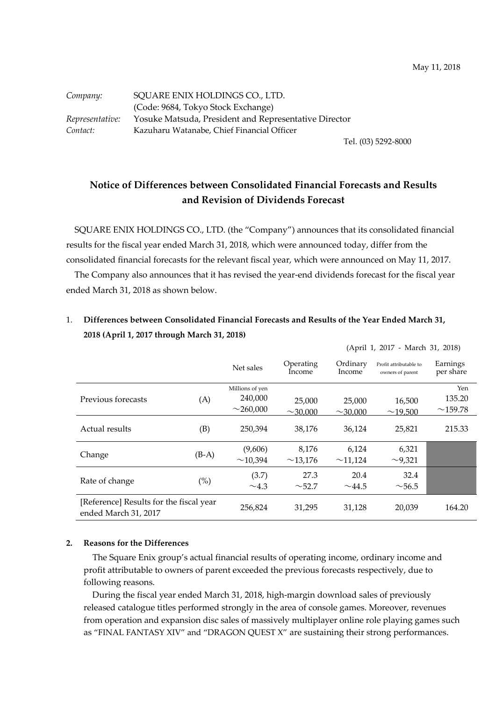| Company:        | SQUARE ENIX HOLDINGS CO., LTD.                        |
|-----------------|-------------------------------------------------------|
|                 | (Code: 9684, Tokyo Stock Exchange)                    |
| Representative: | Yosuke Matsuda, President and Representative Director |
| Contact:        | Kazuharu Watanabe, Chief Financial Officer            |

Tel. (03) 5292-8000

(April 1, 2017 - March 31, 2018)

# **Notice of Differences between Consolidated Financial Forecasts and Results and Revision of Dividends Forecast**

SQUARE ENIX HOLDINGS CO., LTD. (the "Company") announces that its consolidated financial results for the fiscal year ended March 31, 2018, which were announced today, differ from the consolidated financial forecasts for the relevant fiscal year, which were announced on May 11, 2017.

The Company also announces that it has revised the year-end dividends forecast for the fiscal year ended March 31, 2018 as shown below.

## 1. **Differences between Consolidated Financial Forecasts and Results of the Year Ended March 31, 2018 (April 1, 2017 through March 31, 2018)**

|                                                                 |         | Net sales       | Operating<br>Income | Ordinary<br>Income | Profit attributable to<br>owners of parent | Earnings<br>per share |
|-----------------------------------------------------------------|---------|-----------------|---------------------|--------------------|--------------------------------------------|-----------------------|
|                                                                 |         | Millions of yen |                     |                    |                                            | Yen                   |
| Previous forecasts                                              | (A)     | 240,000         | 25,000              | 25,000             | 16,500                                     | 135.20                |
|                                                                 |         | $\sim$ 260,000  | $\sim$ 30,000       | $\sim$ 30,000      | ~19,500                                    | $\sim$ 159.78         |
| Actual results                                                  | (B)     | 250,394         | 38,176              | 36,124             | 25,821                                     | 215.33                |
|                                                                 |         | (9,606)         | 8,176               | 6,124              | 6,321                                      |                       |
| Change                                                          | $(B-A)$ | ~10,394         | ~13,176             | ~11,124            | $\sim$ 9,321                               |                       |
|                                                                 |         | (3.7)           | 27.3                | 20.4               | 32.4                                       |                       |
| Rate of change                                                  | $(\%)$  | $\sim$ 4.3      | $\sim$ 52.7         | $\sim$ 44.5        | $\sim$ 56.5                                |                       |
| [Reference] Results for the fiscal year<br>ended March 31, 2017 |         | 256,824         | 31,295              | 31,128             | 20,039                                     | 164.20                |

#### **2. Reasons for the Differences**

The Square Enix group's actual financial results of operating income, ordinary income and profit attributable to owners of parent exceeded the previous forecasts respectively, due to following reasons.

During the fiscal year ended March 31, 2018, high-margin download sales of previously released catalogue titles performed strongly in the area of console games. Moreover, revenues from operation and expansion disc sales of massively multiplayer online role playing games such as "FINAL FANTASY XIV" and "DRAGON QUEST X" are sustaining their strong performances.